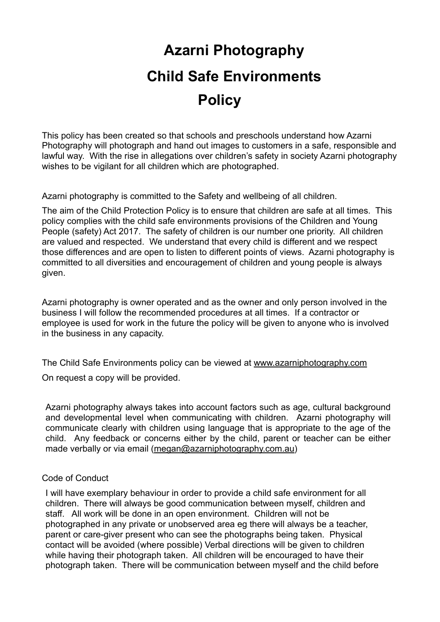# **Azarni Photography Child Safe Environments Policy**

This policy has been created so that schools and preschools understand how Azarni Photography will photograph and hand out images to customers in a safe, responsible and lawful way. With the rise in allegations over children's safety in society Azarni photography wishes to be vigilant for all children which are photographed.

Azarni photography is committed to the Safety and wellbeing of all children.

The aim of the Child Protection Policy is to ensure that children are safe at all times. This policy complies with the child safe environments provisions of the Children and Young People (safety) Act 2017. The safety of children is our number one priority. All children are valued and respected. We understand that every child is different and we respect those differences and are open to listen to different points of views. Azarni photography is committed to all diversities and encouragement of children and young people is always given.

Azarni photography is owner operated and as the owner and only person involved in the business I will follow the recommended procedures at all times. If a contractor or employee is used for work in the future the policy will be given to anyone who is involved in the business in any capacity.

The Child Safe Environments policy can be viewed at [www.azarniphotography.com](http://www.azarniphotography.com) On request a copy will be provided.

Azarni photography always takes into account factors such as age, cultural background and developmental level when communicating with children. Azarni photography will communicate clearly with children using language that is appropriate to the age of the child. Any feedback or concerns either by the child, parent or teacher can be either made verbally or via email [\(megan@azarniphotography.com.au](mailto:megan@azarniphotography.com.au))

### Code of Conduct

I will have exemplary behaviour in order to provide a child safe environment for all children. There will always be good communication between myself, children and staff. All work will be done in an open environment. Children will not be photographed in any private or unobserved area eg there will always be a teacher, parent or care-giver present who can see the photographs being taken. Physical contact will be avoided (where possible) Verbal directions will be given to children while having their photograph taken. All children will be encouraged to have their photograph taken. There will be communication between myself and the child before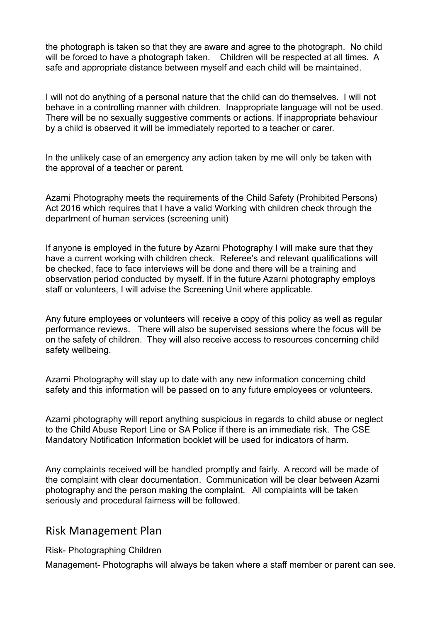the photograph is taken so that they are aware and agree to the photograph. No child will be forced to have a photograph taken. Children will be respected at all times. A safe and appropriate distance between myself and each child will be maintained.

I will not do anything of a personal nature that the child can do themselves. I will not behave in a controlling manner with children. Inappropriate language will not be used. There will be no sexually suggestive comments or actions. If inappropriate behaviour by a child is observed it will be immediately reported to a teacher or carer.

In the unlikely case of an emergency any action taken by me will only be taken with the approval of a teacher or parent.

Azarni Photography meets the requirements of the Child Safety (Prohibited Persons) Act 2016 which requires that I have a valid Working with children check through the department of human services (screening unit)

If anyone is employed in the future by Azarni Photography I will make sure that they have a current working with children check. Referee's and relevant qualifications will be checked, face to face interviews will be done and there will be a training and observation period conducted by myself. If in the future Azarni photography employs staff or volunteers, I will advise the Screening Unit where applicable.

Any future employees or volunteers will receive a copy of this policy as well as regular performance reviews. There will also be supervised sessions where the focus will be on the safety of children. They will also receive access to resources concerning child safety wellbeing.

Azarni Photography will stay up to date with any new information concerning child safety and this information will be passed on to any future employees or volunteers.

Azarni photography will report anything suspicious in regards to child abuse or neglect to the Child Abuse Report Line or SA Police if there is an immediate risk. The CSE Mandatory Notification Information booklet will be used for indicators of harm.

Any complaints received will be handled promptly and fairly. A record will be made of the complaint with clear documentation. Communication will be clear between Azarni photography and the person making the complaint. All complaints will be taken seriously and procedural fairness will be followed.

## Risk Management Plan

Risk- Photographing Children

Management- Photographs will always be taken where a staff member or parent can see.